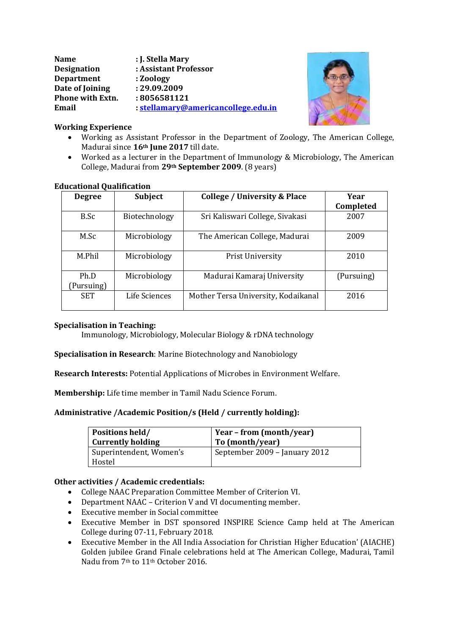| <b>Name</b>        | : J. Stella Mary                    |
|--------------------|-------------------------------------|
| <b>Designation</b> | : Assistant Professor               |
| <b>Department</b>  | : Zoology                           |
| Date of Joining    | : 29.09.2009                        |
| Phone with Extn.   | : 8056581121                        |
| Email              | : stellamary@americancollege.edu.in |



### **Working Experience**

- Working as Assistant Professor in the Department of Zoology, The American College, Madurai since **16th June 2017** till date.
- Worked as a lecturer in the Department of Immunology & Microbiology, The American College, Madurai from **29th September 2009**. (8 years)

# **Educational Qualification**

| <b>Degree</b>     | Subject       | <b>College / University &amp; Place</b> | Year       |  |
|-------------------|---------------|-----------------------------------------|------------|--|
|                   |               |                                         | Completed  |  |
| B.Sc              | Biotechnology | Sri Kaliswari College, Sivakasi         | 2007       |  |
| M.Sc              | Microbiology  | The American College, Madurai           | 2009       |  |
| M.Phil            | Microbiology  | Prist University                        | 2010       |  |
| Ph.D<br>Pursuing) | Microbiology  | Madurai Kamaraj University              | (Pursuing) |  |
| <b>SET</b>        | Life Sciences | Mother Tersa University, Kodaikanal     | 2016       |  |

### **Specialisation in Teaching:**

Immunology, Microbiology, Molecular Biology & rDNA technology

**Specialisation in Research**: Marine Biotechnology and Nanobiology

**Research Interests:** Potential Applications of Microbes in Environment Welfare.

**Membership:** Life time member in Tamil Nadu Science Forum.

# **Administrative /Academic Position/s (Held / currently holding):**

| <b>Positions held/</b>            | Year – from (month/year)      |
|-----------------------------------|-------------------------------|
| <b>Currently holding</b>          | To (month/year)               |
| Superintendent, Women's<br>Hostel | September 2009 – January 2012 |

# **Other activities / Academic credentials:**

- College NAAC Preparation Committee Member of Criterion VI.
- Department NAAC Criterion V and VI documenting member.
- Executive member in Social committee
- Executive Member in DST sponsored INSPIRE Science Camp held at The American College during 07-11, February 2018.
- Executive Member in the All India Association for Christian Higher Education' (AIACHE) Golden jubilee Grand Finale celebrations held at The American College, Madurai, Tamil Nadu from 7th to 11th October 2016.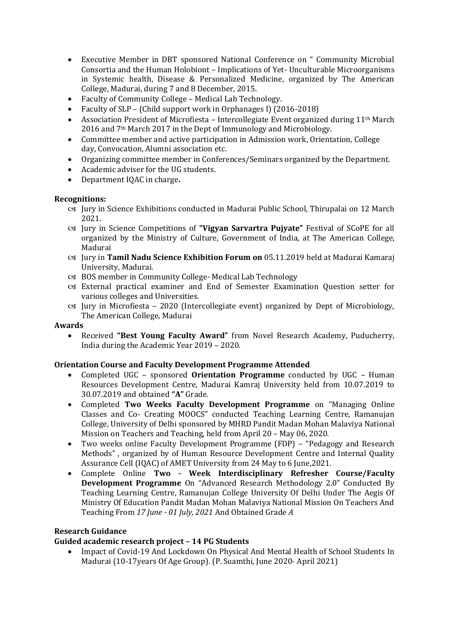- Executive Member in DBT sponsored National Conference on " Community Microbial Consortia and the Human Holobiont – Implications of Yet- Unculturable Microorganisms in Systemic health, Disease & Personalized Medicine, organized by The American College, Madurai, during 7 and 8 December, 2015.
- Faculty of Community College Medical Lab Technology.
- Faculty of SLP (Child support work in Orphanages I) (2016-2018)
- Association President of Microfiesta Intercollegiate Event organized during 11th March 2016 and 7th March 2017 in the Dept of Immunology and Microbiology.
- Committee member and active participation in Admission work, Orientation, College day, Convocation, Alumni association etc.
- Organizing committee member in Conferences/Seminars organized by the Department.
- Academic adviser for the UG students.
- Department IQAC in charge**.**

#### **Recognitions:**

- Jury in Science Exhibitions conducted in Madurai Public School, Thirupalai on 12 March 2021.
- Jury in Science Competitions of **"Vigyan Sarvartra Pujyate"** Festival of SCoPE for all organized by the Ministry of Culture, Government of India, at The American College, Madurai
- Jury in **Tamil Nadu Science Exhibition Forum on** 05.11.2019 held at Madurai Kamaraj University, Madurai.
- BOS member in Community College- Medical Lab Technology
- External practical examiner and End of Semester Examination Question setter for various colleges and Universities.
- Jury in Microfiesta 2020 (Intercollegiate event) organized by Dept of Microbiology, The American College, Madurai

#### **Awards**

 Received **"Best Young Faculty Award"** from Novel Research Academy, Puducherry, India during the Academic Year 2019 – 2020.

#### **Orientation Course and Faculty Development Programme Attended**

- Completed UGC sponsored **Orientation Programme** conducted by UGC Human Resources Development Centre, Madurai Kamraj University held from 10.07.2019 to 30.07.2019 and obtained **"A"** Grade.
- Completed **Two Weeks Faculty Development Programme** on "Managing Online Classes and Co- Creating MOOCS" conducted Teaching Learning Centre, Ramanujan College, University of Delhi sponsored by MHRD Pandit Madan Mohan Malaviya National Mission on Teachers and Teaching, held from April 20 – May 06, 2020.
- Two weeks online Faculty Development Programme (FDP) "Pedagogy and Research Methods" , organized by of Human Resource Development Centre and Internal Quality Assurance Cell (IQAC) of AMET University from 24 May to 6 June,2021.
- Complete Online **Two - Week Interdisciplinary Refresher Course/Faculty Development Programme** On "Advanced Research Methodology 2.0" Conducted By Teaching Learning Centre, Ramanujan College University Of Delhi Under The Aegis Of Ministry Of Education Pandit Madan Mohan Malaviya National Mission On Teachers And Teaching From *17 June - 01 July, 2021* And Obtained Grade *A*

### **Research Guidance**

### **Guided academic research project – 14 PG Students**

 Impact of Covid-19 And Lockdown On Physical And Mental Health of School Students In Madurai (10-17years Of Age Group). (P. Suamthi, June 2020- April 2021)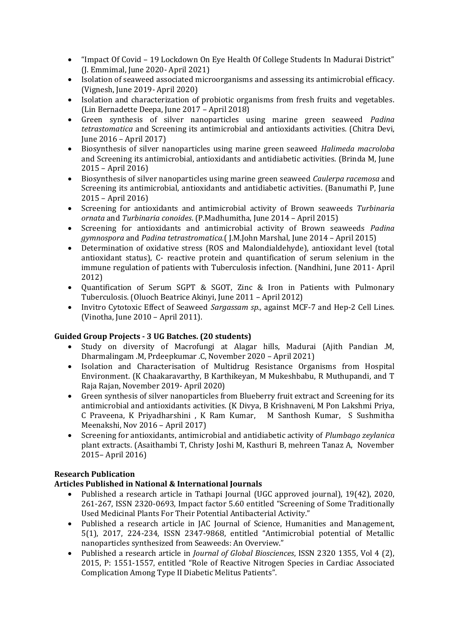- "Impact Of Covid 19 Lockdown On Eye Health Of College Students In Madurai District" (J. Emmimal, June 2020- April 2021)
- Isolation of seaweed associated microorganisms and assessing its antimicrobial efficacy. (Vignesh, June 2019- April 2020)
- Isolation and characterization of probiotic organisms from fresh fruits and vegetables. (Lin Bernadette Deepa, June 2017 – April 2018)
- Green synthesis of silver nanoparticles using marine green seaweed *Padina tetrastomatica* and Screening its antimicrobial and antioxidants activities. (Chitra Devi, June 2016 – April 2017)
- Biosynthesis of silver nanoparticles using marine green seaweed *Halimeda macroloba* and Screening its antimicrobial, antioxidants and antidiabetic activities. (Brinda M, June 2015 – April 2016)
- Biosynthesis of silver nanoparticles using marine green seaweed *Caulerpa racemosa* and Screening its antimicrobial, antioxidants and antidiabetic activities. (Banumathi P, June 2015 – April 2016)
- Screening for antioxidants and antimicrobial activity of Brown seaweeds *Turbinaria ornata* and *Turbinaria conoides*. (P.Madhumitha, June 2014 – April 2015)
- Screening for antioxidants and antimicrobial activity of Brown seaweeds *Padina gymnospora* and *Padina tetrastromatica.*( J.M.John Marshal, June 2014 – April 2015)
- Determination of oxidative stress (ROS and Malondialdehyde), antioxidant level (total antioxidant status), C- reactive protein and quantification of serum selenium in the immune regulation of patients with Tuberculosis infection. (Nandhini, June 2011- April 2012)
- Quantification of Serum SGPT & SGOT, Zinc & Iron in Patients with Pulmonary Tuberculosis. (Oluoch Beatrice Akinyi, June 2011 – April 2012)
- Invitro Cytotoxic Effect of Seaweed *Sargassam sp.,* against MCF-7 and Hep-2 Cell Lines. (Vinotha, June 2010 – April 2011).

### **Guided Group Projects - 3 UG Batches. (20 students)**

- Study on diversity of Macrofungi at Alagar hills, Madurai (Ajith Pandian .M, Dharmalingam .M, Prdeepkumar .C, November 2020 – April 2021)
- Isolation and Characterisation of Multidrug Resistance Organisms from Hospital Environment. (K Chaakaravarthy, B Karthikeyan, M Mukeshbabu, R Muthupandi, and T Raja Rajan, November 2019- April 2020)
- Green synthesis of silver nanoparticles from Blueberry fruit extract and Screening for its antimicrobial and antioxidants activities. (K Divya, B Krishnaveni, M Pon Lakshmi Priya, C Praveena, K Priyadharshini , K Ram Kumar, M Santhosh Kumar, S Sushmitha Meenakshi, Nov 2016 – April 2017)
- Screening for antioxidants, antimicrobial and antidiabetic activity of *Plumbago zeylanica*  plant extracts. (Asaithambi T, Christy Joshi M, Kasthuri B, mehreen Tanaz A, November 2015– April 2016)

# **Research Publication**

### **Articles Published in National & International Journals**

- Published a research article in Tathapi Journal (UGC approved journal), 19(42), 2020, 261-267, ISSN 2320-0693, Impact factor 5.60 entitled "Screening of Some Traditionally Used Medicinal Plants For Their Potential Antibacterial Activity."
- Published a research article in JAC Journal of Science, Humanities and Management, 5(1), 2017, 224-234, ISSN 2347-9868, entitled "Antimicrobial potential of Metallic nanoparticles synthesized from Seaweeds: An Overview."
- Published a research article in *Journal of Global Biosciences*, ISSN 2320 1355, Vol 4 (2), 2015, P: 1551-1557, entitled "Role of Reactive Nitrogen Species in Cardiac Associated Complication Among Type II Diabetic Melitus Patients".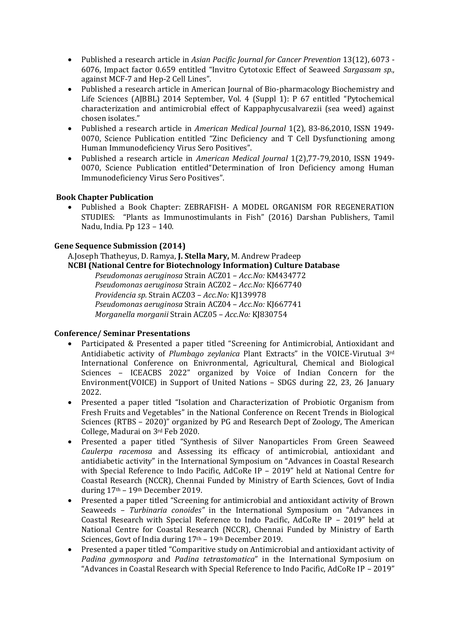- Published a research article in *Asian Pacific Journal for Cancer Prevention* 13(12), 6073 6076, Impact factor 0.659 entitled "Invitro Cytotoxic Effect of Seaweed *Sargassam sp.,* against MCF-7 and Hep-2 Cell Lines".
- Published a research article in American Journal of Bio-pharmacology Biochemistry and Life Sciences (AJBBL) 2014 September, Vol. 4 (Suppl 1): P 67 entitled "Pytochemical characterization and antimicrobial effect of Kappaphycusalvarezii (sea weed) against chosen isolates."
- Published a research article in *American Medical Journal* 1(2), 83-86,2010, ISSN 1949- 0070, Science Publication entitled "Zinc Deficiency and T Cell Dysfunctioning among Human Immunodeficiency Virus Sero Positives".
- Published a research article in *American Medical Journal* 1(2),77-79,2010, ISSN 1949- 0070, Science Publication entitled"Determination of Iron Deficiency among Human Immunodeficiency Virus Sero Positives".

# **Book Chapter Publication**

 Published a Book Chapter: ZEBRAFISH- A MODEL ORGANISM FOR REGENERATION STUDIES: "Plants as Immunostimulants in Fish" (2016) Darshan Publishers, Tamil Nadu, India. Pp 123 – 140.

### **Gene Sequence Submission (2014)**

A.Joseph Thatheyus, D. Ramya, **J. Stella Mary,** M. Andrew Pradeep **NCBI (National Centre for Biotechnology Information) Culture Database**

*Pseudomonas aeruginosa* Strain ACZ01 – *Acc.No:* KM434772 *Pseudomonas aeruginosa* Strain ACZ02 – *Acc.No:* KJ667740 *Providencia sp.* Strain ACZ03 – *Acc.No:* KJ139978 *Pseudomonas aeruginosa* Strain ACZ04 – *Acc.No:* KJ667741 *Morganella morganii* Strain ACZ05 – *Acc.No:* KJ830754

### **Conference/ Seminar Presentations**

- Participated & Presented a paper titled "Screening for Antimicrobial, Antioxidant and Antidiabetic activity of *Plumbago zeylanica* Plant Extracts" in the VOICE-Virutual 3rd International Conference on Enivronmental, Agricultural, Chemical and Biological Sciences – ICEACBS 2022" organized by Voice of Indian Concern for the Environment(VOICE) in Support of United Nations – SDGS during 22, 23, 26 January 2022.
- Presented a paper titled "Isolation and Characterization of Probiotic Organism from Fresh Fruits and Vegetables" in the National Conference on Recent Trends in Biological Sciences (RTBS – 2020)" organized by PG and Research Dept of Zoology, The American College, Madurai on 3rd Feb 2020.
- Presented a paper titled "Synthesis of Silver Nanoparticles From Green Seaweed *Caulerpa racemosa* and Assessing its efficacy of antimicrobial, antioxidant and antidiabetic activity" in the International Symposium on "Advances in Coastal Research with Special Reference to Indo Pacific, AdCoRe IP – 2019" held at National Centre for Coastal Research (NCCR), Chennai Funded by Ministry of Earth Sciences, Govt of India during 17th – 19th December 2019.
- Presented a paper titled "Screening for antimicrobial and antioxidant activity of Brown Seaweeds – *Turbinaria conoides"* in the International Symposium on "Advances in Coastal Research with Special Reference to Indo Pacific, AdCoRe IP – 2019" held at National Centre for Coastal Research (NCCR), Chennai Funded by Ministry of Earth Sciences, Govt of India during 17<sup>th</sup> - 19<sup>th</sup> December 2019.
- Presented a paper titled "Comparitive study on Antimicrobial and antioxidant activity of *Padina gymnospora* and *Padina tetrastomatica*" in the International Symposium on "Advances in Coastal Research with Special Reference to Indo Pacific, AdCoRe IP – 2019"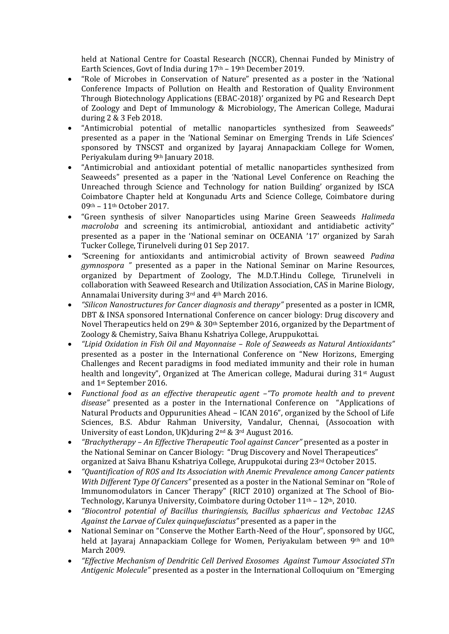held at National Centre for Coastal Research (NCCR), Chennai Funded by Ministry of Earth Sciences, Govt of India during 17<sup>th</sup> - 19<sup>th</sup> December 2019.

- "Role of Microbes in Conservation of Nature" presented as a poster in the 'National Conference Impacts of Pollution on Health and Restoration of Quality Environment Through Biotechnology Applications (EBAC-2018)' organized by PG and Research Dept of Zoology and Dept of Immunology & Microbiology, The American College, Madurai during 2 & 3 Feb 2018.
- "Antimicrobial potential of metallic nanoparticles synthesized from Seaweeds" presented as a paper in the 'National Seminar on Emerging Trends in Life Sciences' sponsored by TNSCST and organized by Jayaraj Annapackiam College for Women, Periyakulam during 9th January 2018.
- "Antimicrobial and antioxidant potential of metallic nanoparticles synthesized from Seaweeds" presented as a paper in the 'National Level Conference on Reaching the Unreached through Science and Technology for nation Building' organized by ISCA Coimbatore Chapter held at Kongunadu Arts and Science College, Coimbatore during 09th – 11th October 2017.
- "Green synthesis of silver Nanoparticles using Marine Green Seaweeds *Halimeda macroloba* and screening its antimicrobial, antioxidant and antidiabetic activity" presented as a paper in the 'National seminar on OCEANIA '17' organized by Sarah Tucker College, Tirunelveli during 01 Sep 2017.
- *"*Screening for antioxidants and antimicrobial activity of Brown seaweed *Padina gymnospora "* presented as a paper in the National Seminar on Marine Resources, organized by Department of Zoology, The M.D.T.Hindu College, Tirunelveli in collaboration with Seaweed Research and Utilization Association, CAS in Marine Biology, Annamalai University during 3rd and 4th March 2016.
- *"Silicon Nanostructures for Cancer diagnosis and therapy"* presented as a poster in ICMR, DBT & INSA sponsored International Conference on cancer biology: Drug discovery and Novel Therapeutics held on 29th & 30th September 2016, organized by the Department of Zoology & Chemistry, Saiva Bhanu Kshatriya College, Aruppukottai.
- *"Lipid Oxidation in Fish Oil and Mayonnaise – Role of Seaweeds as Natural Antioxidants"* presented as a poster in the International Conference on "New Horizons, Emerging Challenges and Recent paradigms in food mediated immunity and their role in human health and longevity", Organized at The American college, Madurai during 31st August and 1st September 2016.
- *Functional food as an effective therapeutic agent –"To promote health and to prevent disease"* presented as a poster in the International Conference on "Applications of Natural Products and Oppurunities Ahead – ICAN 2016", organized by the School of Life Sciences, B.S. Abdur Rahman University, Vandalur, Chennai, (Assocoation with University of east London, UK)during 2nd & 3rd August 2016.
- *"Brachytherapy – An Effective Therapeutic Tool against Cancer"* presented as a poster in the National Seminar on Cancer Biology: "Drug Discovery and Novel Therapeutices" organized at Saiva Bhanu Kshatriya College, Aruppukotai during 23rd October 2015.
- *"Quantification of ROS and Its Association with Anemic Prevalence among Cancer patients With Different Type Of Cancers"* presented as a poster in the National Seminar on "Role of Immunomodulators in Cancer Therapy" (RICT 2010) organized at The School of Bio-Technology, Karunya University, Coimbatore during October 11th – 12th, 2010.
- *"Biocontrol potential of Bacillus thuringiensis, Bacillus sphaericus and Vectobac 12AS Against the Larvae of Culex quinquefasciatus"* presented as a paper in the
- National Seminar on "Conserve the Mother Earth-Need of the Hour", sponsored by UGC, held at Jayaraj Annapackiam College for Women, Periyakulam between 9<sup>th</sup> and 10<sup>th</sup> March 2009.
- *"Effective Mechanism of Dendritic Cell Derived Exosomes Against Tumour Associated STn Antigenic Molecule"* presented as a poster in the International Colloquium on "Emerging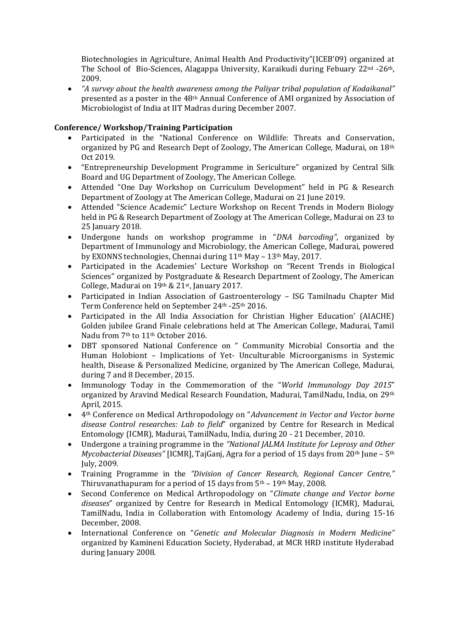Biotechnologies in Agriculture, Animal Health And Productivity"(ICEB'09) organized at The School of Bio-Sciences, Alagappa University, Karaikudi during Febuary 22nd -26th, 2009.

 *"A survey about the health awareness among the Paliyar tribal population of Kodaikanal"* presented as a poster in the 48th Annual Conference of AMI organized by Association of Microbiologist of India at IIT Madras during December 2007.

### **Conference/ Workshop/Training Participation**

- Participated in the "National Conference on Wildlife: Threats and Conservation, organized by PG and Research Dept of Zoology, The American College, Madurai, on 18th Oct 2019.
- "Entrepreneurship Development Programme in Sericulture" organized by Central Silk Board and UG Department of Zoology, The American College.
- Attended "One Day Workshop on Curriculum Development" held in PG & Research Department of Zoology at The American College, Madurai on 21 June 2019.
- Attended "Science Academic" Lecture Workshop on Recent Trends in Modern Biology held in PG & Research Department of Zoology at The American College, Madurai on 23 to 25 January 2018.
- Undergone hands on workshop programme in "*DNA barcoding"*, organized by Department of Immunology and Microbiology, the American College, Madurai, powered by EXONNS technologies, Chennai during 11th May – 13th May, 2017.
- Participated in the Academies' Lecture Workshop on "Recent Trends in Biological Sciences" organized by Postgraduate & Research Department of Zoology, The American College, Madurai on 19th & 21st, January 2017.
- Participated in Indian Association of Gastroenterology ISG Tamilnadu Chapter Mid Term Conference held on September 24th -25th 2016.
- Participated in the All India Association for Christian Higher Education' (AIACHE) Golden jubilee Grand Finale celebrations held at The American College, Madurai, Tamil Nadu from 7<sup>th</sup> to 11<sup>th</sup> October 2016.
- DBT sponsored National Conference on " Community Microbial Consortia and the Human Holobiont – Implications of Yet- Unculturable Microorganisms in Systemic health, Disease & Personalized Medicine, organized by The American College, Madurai, during 7 and 8 December, 2015.
- Immunology Today in the Commemoration of the "*World Immunology Day 2015*" organized by Aravind Medical Research Foundation, Madurai, TamilNadu, India, on 29th April, 2015.
- 4th Conference on Medical Arthropodology on "*Advancement in Vector and Vector borne disease Control researches: Lab to field*" organized by Centre for Research in Medical Entomology (ICMR), Madurai, TamilNadu, India, during 20 - 21 December, 2010.
- Undergone a training programme in the *"National JALMA Institute for Leprosy and Other Mycobacterial Diseases"* [ICMR], TajGanj, Agra for a period of 15 days from 20th June – 5th July, 2009.
- Training Programme in the *"Division of Cancer Research, Regional Cancer Centre,"* Thiruvanathapuram for a period of 15 days from  $5<sup>th</sup> - 19<sup>th</sup>$  May, 2008.
- Second Conference on Medical Arthropodology on "*Climate change and Vector borne diseases*" organized by Centre for Research in Medical Entomology (ICMR), Madurai, TamilNadu, India in Collaboration with Entomology Academy of India, during 15-16 December, 2008.
- International Conference on "*Genetic and Molecular Diagnosis in Modern Medicine"* organized by Kamineni Education Society, Hyderabad, at MCR HRD institute Hyderabad during January 2008.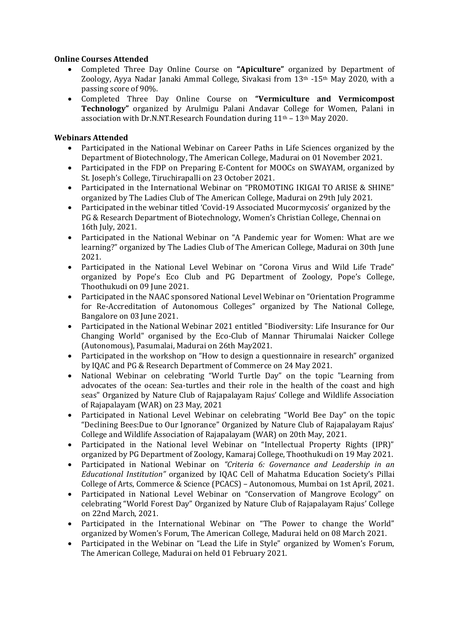## **Online Courses Attended**

- Completed Three Day Online Course on **"Apiculture"** organized by Department of Zoology, Ayya Nadar Janaki Ammal College, Sivakasi from 13th -15th May 2020, with a passing score of 90%.
- Completed Three Day Online Course on **"Vermiculture and Vermicompost Technology"** organized by Arulmigu Palani Andavar College for Women, Palani in association with Dr.N.NT.Research Foundation during 11th – 13th May 2020.

# **Webinars Attended**

- Participated in the National Webinar on Career Paths in Life Sciences organized by the Department of Biotechnology, The American College, Madurai on 01 November 2021.
- Participated in the FDP on Preparing E-Content for MOOCs on SWAYAM, organized by St. Joseph's College, Tiruchirapalli on 23 October 2021.
- Participated in the International Webinar on "PROMOTING IKIGAI TO ARISE & SHINE" organized by The Ladies Club of The American College, Madurai on 29th July 2021.
- Participated in the webinar titled 'Covid-19 Associated Mucormycosis' organized by the PG & Research Department of Biotechnology, Women's Christian College, Chennai on 16th July, 2021.
- Participated in the National Webinar on "A Pandemic year for Women: What are we learning?" organized by The Ladies Club of The American College, Madurai on 30th June 2021.
- Participated in the National Level Webinar on "Corona Virus and Wild Life Trade" organized by Pope's Eco Club and PG Department of Zoology, Pope's College, Thoothukudi on 09 June 2021.
- Participated in the NAAC sponsored National Level Webinar on "Orientation Programme for Re-Accreditation of Autonomous Colleges" organized by The National College, Bangalore on 03 June 2021.
- Participated in the National Webinar 2021 entitled "Biodiversity: Life Insurance for Our Changing World" organised by the Eco-Club of Mannar Thirumalai Naicker College (Autonomous), Pasumalai, Madurai on 26th May2021.
- Participated in the workshop on "How to design a questionnaire in research" organized by IQAC and PG & Research Department of Commerce on 24 May 2021.
- National Webinar on celebrating "World Turtle Day" on the topic "Learning from advocates of the ocean: Sea-turtles and their role in the health of the coast and high seas" Organized by Nature Club of Rajapalayam Rajus' College and Wildlife Association of Rajapalayam (WAR) on 23 May, 2021
- Participated in National Level Webinar on celebrating "World Bee Day" on the topic "Declining Bees:Due to Our Ignorance" Organized by Nature Club of Rajapalayam Rajus' College and Wildlife Association of Rajapalayam (WAR) on 20th May, 2021.
- Participated in the National level Webinar on "Intellectual Property Rights (IPR)" organized by PG Department of Zoology, Kamaraj College, Thoothukudi on 19 May 2021.
- Participated in National Webinar on *"Criteria 6: Governance and Leadership in an Educational Institution"* organized by IQAC Cell of Mahatma Education Society's Pillai College of Arts, Commerce & Science (PCACS) – Autonomous, Mumbai on 1st April, 2021.
- Participated in National Level Webinar on "Conservation of Mangrove Ecology" on celebrating "World Forest Day" Organized by Nature Club of Rajapalayam Rajus' College on 22nd March, 2021.
- Participated in the International Webinar on "The Power to change the World" organized by Women's Forum, The American College, Madurai held on 08 March 2021.
- Participated in the Webinar on "Lead the Life in Style" organized by Women's Forum, The American College, Madurai on held 01 February 2021.